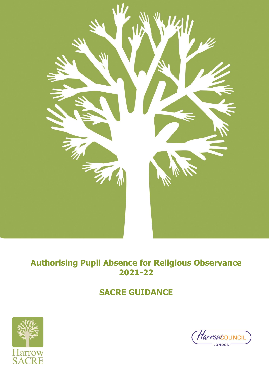

# **Authorising Pupil Absence for Religious Observance 2021-22**

# **SACRE GUIDANCE**



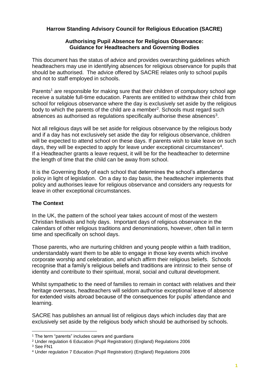## **Harrow Standing Advisory Council for Religious Education (SACRE)**

### **Authorising Pupil Absence for Religious Observance: Guidance for Headteachers and Governing Bodies**

This document has the status of advice and provides overarching guidelines which headteachers may use in identifying absences for religious observance for pupils that should be authorised. The advice offered by SACRE relates only to school pupils and not to staff employed in schools.

Parents<sup>1</sup> are responsible for making sure that their children of compulsory school age receive a suitable full-time education. Parents are entitled to withdraw their child from school for religious observance where the day is exclusively set aside by the religious body to which the parents of the child are a member<sup>2</sup>. Schools must regard such absences as authorised as regulations specifically authorise these absences<sup>3</sup>.

Not all religious days will be set aside for religious observance by the religious body and if a day has not exclusively set aside the day for religious observance, children will be expected to attend school on these days. If parents wish to take leave on such days, they will be expected to apply for leave under exceptional circumstances<sup>4</sup>. If a Headteacher grants a leave request, it will be for the headteacher to determine the length of time that the child can be away from school.

It is the Governing Body of each school that determines the school's attendance policy in light of legislation. On a day to day basis, the headteacher implements that policy and authorises leave for religious observance and considers any requests for leave in other exceptional circumstances.

## **The Context**

In the UK, the pattern of the school year takes account of most of the western Christian festivals and holy days. Important days of religious observance in the calendars of other religious traditions and denominations, however, often fall in term time and specifically on school days.

Those parents, who are nurturing children and young people within a faith tradition, understandably want them to be able to engage in those key events which involve corporate worship and celebration, and which affirm their religious beliefs. Schools recognise that a family's religious beliefs and traditions are intrinsic to their sense of identity and contribute to their spiritual, moral, social and cultural development.

Whilst sympathetic to the need of families to remain in contact with relatives and their heritage overseas, headteachers will seldom authorise exceptional leave of absence for extended visits abroad because of the consequences for pupils' attendance and learning.

SACRE has publishes an annual list of religious days which includes day that are exclusively set aside by the religious body which should be authorised by schools.

<sup>&</sup>lt;sup>1</sup> The term "parents" includes carers and guardians

<sup>2</sup> Under regulation 6 Education (Pupil Registration) (England) Regulations 2006

<sup>3</sup> See FN1

<sup>4</sup> Under regulation 7 Education (Pupil Registration) (England) Regulations 2006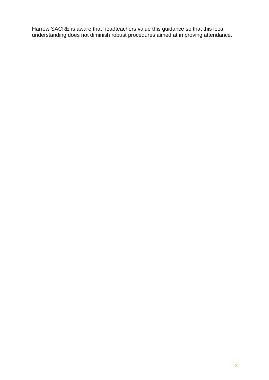Harrow SACRE is aware that headteachers value this guidance so that this local understanding does not diminish robust procedures aimed at improving attendance.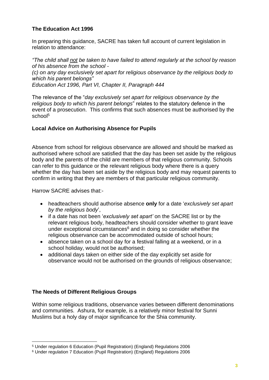## **The Education Act 1996**

In preparing this guidance, SACRE has taken full account of current legislation in relation to attendance:

*"The child shall not be taken to have failed to attend regularly at the school by reason of his absence from the school - (c) on any day exclusively set apart for religious observance by the religious body to which his parent belongs" Education Act 1996, Part VI, Chapter II, Paragraph 444*

The relevance of the "*day exclusively set apart for religious observance by the religious body to which his parent belongs*" relates to the statutory defence in the event of a prosecution. This confirms that such absences must be authorised by the school<sup>5</sup>

### **Local Advice on Authorising Absence for Pupils**

Absence from school for religious observance are allowed and should be marked as authorised where school are satisfied that the day has been set aside by the religious body and the parents of the child are members of that religious community. Schools can refer to this guidance or the relevant religious body where there is a query whether the day has been set aside by the religious body and may request parents to confirm in writing that they are members of that particular religious community.

Harrow SACRE advises that:-

- headteachers should authorise absence **only** for a date '*exclusively set apart by the religious body*',
- if a date has not been '*exclusively set apart'* on the SACRE list or by the relevant religious body, headteachers should consider whether to grant leave under exceptional circumstances $6$  and in doing so consider whether the religious observance can be accommodated outside of school hours;
- absence taken on a school day for a festival falling at a weekend, or in a school holiday, would not be authorised;
- additional days taken on either side of the day explicitly set aside for observance would not be authorised on the grounds of religious observance;

## **The Needs of Different Religious Groups**

Within some religious traditions, observance varies between different denominations and communities. Ashura, for example, is a relatively minor festival for Sunni Muslims but a holy day of major significance for the Shia community.

<sup>5</sup> Under regulation 6 Education (Pupil Registration) (England) Regulations 2006

<sup>6</sup> Under regulation 7 Education (Pupil Registration) (England) Regulations 2006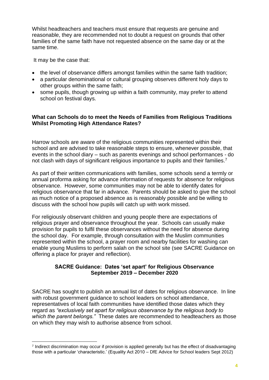Whilst headteachers and teachers must ensure that requests are genuine and reasonable, they are recommended not to doubt a request on grounds that other families of the same faith have not requested absence on the same day or at the same time.

It may be the case that:

- the level of observance differs amongst families within the same faith tradition;
- a particular denominational or cultural grouping observes different holy days to other groups within the same faith;
- some pupils, though growing up within a faith community, may prefer to attend school on festival days.

### **What can Schools do to meet the Needs of Families from Religious Traditions Whilst Promoting High Attendance Rates?**

Harrow schools are aware of the religious communities represented within their school and are advised to take reasonable steps to ensure, whenever possible, that events in the school diary – such as parents evenings and school performances - do not clash with days of significant religious importance to pupils and their families.<sup>7</sup>

As part of their written communications with families, some schools send a termly or annual proforma asking for advance information of requests for absence for religious observance. However, some communities may not be able to identify dates for religious observance that far in advance. Parents should be asked to give the school as much notice of a proposed absence as is reasonably possible and be willing to discuss with the school how pupils will catch up with work missed.

For religiously observant children and young people there are expectations of religious prayer and observance throughout the year. Schools can usually make provision for pupils to fulfil these observances without the need for absence during the school day. For example, through consultation with the Muslim communities represented within the school, a prayer room and nearby facilities for washing can enable young Muslims to perform salah on the school site (see SACRE Guidance on offering a place for prayer and reflection).

### **SACRE Guidance: Dates 'set apart' for Religious Observance September 2019 – December 2020**

SACRE has sought to publish an annual list of dates for religious observance. In line with robust government guidance to school leaders on school attendance, representatives of local faith communities have identified those dates which they regard as *"exclusively set apart for religious observance by the religious body to which the parent belongs."* These dates are recommended to headteachers as those on which they may wish to authorise absence from school.

<sup>7</sup> Indirect discrimination may occur if provision is applied generally but has the effect of disadvantaging those with a particular 'characteristic.' (Equality Act 2010 – DfE Advice for School leaders Sept 2012)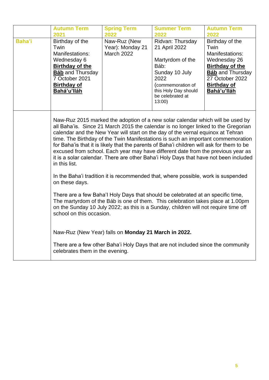|               | <b>Autumn Term</b><br>2021                                                                                                                                                                                                                                                                                                                                                                                                                                                                                                                                                                                                                                                                                                 | <b>Spring Term</b><br>2022                            | <b>Summer Term</b><br>2022                                                                                                                                        | <b>Autumn Term</b><br>2022                                                                                                                                              |  |
|---------------|----------------------------------------------------------------------------------------------------------------------------------------------------------------------------------------------------------------------------------------------------------------------------------------------------------------------------------------------------------------------------------------------------------------------------------------------------------------------------------------------------------------------------------------------------------------------------------------------------------------------------------------------------------------------------------------------------------------------------|-------------------------------------------------------|-------------------------------------------------------------------------------------------------------------------------------------------------------------------|-------------------------------------------------------------------------------------------------------------------------------------------------------------------------|--|
| <b>Baha'i</b> | Birthday of the<br>Twin<br>Manifestations:<br>Wednesday 6<br>Birthday of the<br><b>Báb</b> and Thursday<br>7 October 2021<br><b>Birthday of</b><br>Bahá'u'lláh                                                                                                                                                                                                                                                                                                                                                                                                                                                                                                                                                             | Naw-Ruz (New<br>Year): Monday 21<br><b>March 2022</b> | Ridvan: Thursday<br>21 April 2022<br>Martyrdom of the<br>Báb:<br>Sunday 10 July<br>2022<br>(commemoration of<br>this Holy Day should<br>be celebrated at<br>13:00 | Birthday of the<br>Twin<br>Manifestations:<br>Wednesday 26<br><b>Birthday of the</b><br><b>Báb</b> and Thursday<br>27 October 2022<br><b>Birthday of</b><br>Bahá'u'lláh |  |
|               | Naw-Ruz 2015 marked the adoption of a new solar calendar which will be used by<br>all Baha'is. Since 21 March 2015 the calendar is no longer linked to the Gregorian<br>calendar and the New Year will start on the day of the vernal equinox at Tehran<br>time. The Birthday of the Twin Manifestations is such an important commemoration<br>for Baha'is that it is likely that the parents of Baha'i children will ask for them to be<br>excused from school. Each year may have different date from the previous year as<br>it is a solar calendar. There are other Baha'i Holy Days that have not been included<br>in this list.<br>In the Baha'i tradition it is recommended that, where possible, work is suspended |                                                       |                                                                                                                                                                   |                                                                                                                                                                         |  |
|               | on these days.<br>There are a few Baha'l Holy Days that should be celebrated at an specific time,<br>The martyrdom of the Báb is one of them. This celebration takes place at 1.00pm<br>on the Sunday 10 July 2022; as this is a Sunday, children will not require time off<br>school on this occasion.                                                                                                                                                                                                                                                                                                                                                                                                                    |                                                       |                                                                                                                                                                   |                                                                                                                                                                         |  |
|               | celebrates them in the evening.                                                                                                                                                                                                                                                                                                                                                                                                                                                                                                                                                                                                                                                                                            | Naw-Ruz (New Year) falls on Monday 21 March in 2022.  | There are a few other Baha'i Holy Days that are not included since the community                                                                                  |                                                                                                                                                                         |  |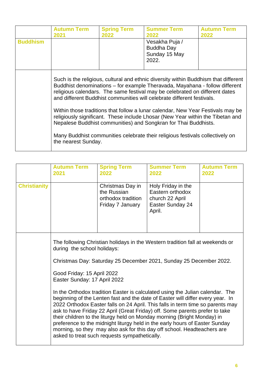| <b>Buddhism</b> | <b>Autumn Term</b><br>2021                                                                                                                                                                                                                                                                                                                                                                                     | <b>Spring Term</b><br>2022 | <b>Summer Term</b><br>2022<br>Vesakha Puja /<br><b>Buddha Day</b><br>Sunday 15 May<br>2022.                                                                                                                                        | <b>Autumn Term</b><br>2022 |  |
|-----------------|----------------------------------------------------------------------------------------------------------------------------------------------------------------------------------------------------------------------------------------------------------------------------------------------------------------------------------------------------------------------------------------------------------------|----------------------------|------------------------------------------------------------------------------------------------------------------------------------------------------------------------------------------------------------------------------------|----------------------------|--|
|                 | Such is the religious, cultural and ethnic diversity within Buddhism that different<br>Buddhist denominations – for example Theravada, Mayahana - follow different<br>religious calendars. The same festival may be celebrated on different dates<br>and different Buddhist communities will celebrate different festivals.<br>Within those traditions that follow a lunar calendar, New Year Festivals may be |                            |                                                                                                                                                                                                                                    |                            |  |
|                 | the nearest Sunday.                                                                                                                                                                                                                                                                                                                                                                                            |                            | religiously significant. These include Lhosar (New Year within the Tibetan and<br>Nepalese Buddhist communities) and Songkran for Thai Buddhists.<br>Many Buddhist communities celebrate their religious festivals collectively on |                            |  |

|                     | <b>Autumn Term</b><br>2021   | <b>Spring Term</b><br>2022                                                                                                                                                                                                                                                                                                                                                                                                                                                                                                                                                                                             | <b>Summer Term</b><br>2022                                                              | <b>Autumn Term</b><br>2022 |  |  |
|---------------------|------------------------------|------------------------------------------------------------------------------------------------------------------------------------------------------------------------------------------------------------------------------------------------------------------------------------------------------------------------------------------------------------------------------------------------------------------------------------------------------------------------------------------------------------------------------------------------------------------------------------------------------------------------|-----------------------------------------------------------------------------------------|----------------------------|--|--|
| <b>Christianity</b> |                              | Christmas Day in<br>the Russian<br>orthodox tradition<br>Friday 7 January                                                                                                                                                                                                                                                                                                                                                                                                                                                                                                                                              | Holy Friday in the<br>Eastern orthodox<br>church 22 April<br>Easter Sunday 24<br>April. |                            |  |  |
|                     | Good Friday: 15 April 2022   | The following Christian holidays in the Western tradition fall at weekends or<br>during the school holidays:<br>Christmas Day: Saturday 25 December 2021, Sunday 25 December 2022.                                                                                                                                                                                                                                                                                                                                                                                                                                     |                                                                                         |                            |  |  |
|                     | Easter Sunday: 17 April 2022 | In the Orthodox tradition Easter is calculated using the Julian calendar. The<br>beginning of the Lenten fast and the date of Easter will differ every year. In<br>2022 Orthodox Easter falls on 24 April. This falls in term time so parents may<br>ask to have Friday 22 April (Great Friday) off. Some parents prefer to take<br>their children to the liturgy held on Monday morning (Bright Monday) in<br>preference to the midnight liturgy held in the early hours of Easter Sunday<br>morning, so they may also ask for this day off school. Headteachers are<br>asked to treat such requests sympathetically. |                                                                                         |                            |  |  |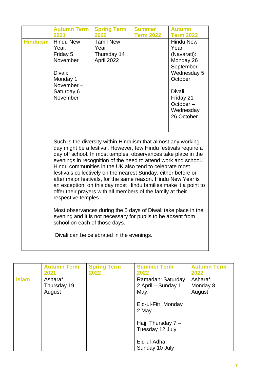| <b>Hinduism</b> | <b>Autumn Term</b><br>2021<br><b>Hindu New</b><br>Year:<br>Friday 5 | <b>Spring Term</b><br>2022<br><b>Tamil New</b><br>Year<br>Thursday 14                                                                                                                                                                                                                                                                                                                                                                                                                                                                                                                                                                                                                                                                                                                | <b>Summer</b><br><b>Term 2022</b> | <b>Autumn</b><br><b>Term 2022</b><br><b>Hindu New</b><br>Year<br>(Navarati): |
|-----------------|---------------------------------------------------------------------|--------------------------------------------------------------------------------------------------------------------------------------------------------------------------------------------------------------------------------------------------------------------------------------------------------------------------------------------------------------------------------------------------------------------------------------------------------------------------------------------------------------------------------------------------------------------------------------------------------------------------------------------------------------------------------------------------------------------------------------------------------------------------------------|-----------------------------------|------------------------------------------------------------------------------|
|                 | November<br>Divali:<br>Monday 1<br>November-                        | April 2022                                                                                                                                                                                                                                                                                                                                                                                                                                                                                                                                                                                                                                                                                                                                                                           |                                   | Monday 26<br>September -<br>Wednesday 5<br>October                           |
|                 | Saturday 6<br>November                                              |                                                                                                                                                                                                                                                                                                                                                                                                                                                                                                                                                                                                                                                                                                                                                                                      |                                   | Divali:<br>Friday 21<br>October-<br>Wednesday<br>26 October                  |
|                 | respective temples.<br>school on each of those days.                | Such is the diversity within Hinduism that almost any working<br>day might be a festival. However, few Hindu festivals require a<br>day off school. In most temples, observances take place in the<br>evenings in recognition of the need to attend work and school.<br>Hindu communities in the UK also tend to celebrate most<br>festivals collectively on the nearest Sunday, either before or<br>after major festivals, for the same reason. Hindu New Year is<br>an exception; on this day most Hindu families make it a point to<br>offer their prayers with all members of the family at their<br>Most observances during the 5 days of Diwali take place in the<br>evening and it is not necessary for pupils to be absent from<br>Divali can be celebrated in the evenings. |                                   |                                                                              |

|              | <b>Autumn Term</b><br>2021       | <b>Spring Term</b><br>2022 | <b>Summer Term</b><br>2022                      | <b>Autumn Term</b><br>2022    |
|--------------|----------------------------------|----------------------------|-------------------------------------------------|-------------------------------|
| <b>Islam</b> | Ashara*<br>Thursday 19<br>August |                            | Ramadan: Saturday<br>2 April – Sunday 1<br>May. | Ashara*<br>Monday 8<br>August |
|              |                                  |                            | Eid-ul-Fitr: Monday<br>2 May                    |                               |
|              |                                  |                            | Hajj: Thursday $7 -$<br>Tuesday 12 July.        |                               |
|              |                                  |                            | Eid-ul-Adha:<br>Sunday 10 July                  |                               |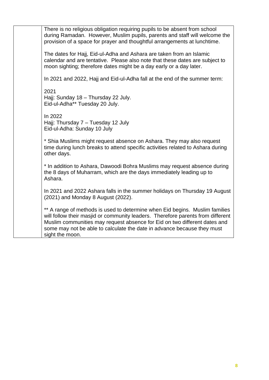There is no religious obligation requiring pupils to be absent from school during Ramadan. However, Muslim pupils, parents and staff will welcome the provision of a space for prayer and thoughtful arrangements at lunchtime.

The dates for Hajj, Eid-ul-Adha and Ashara are taken from an Islamic calendar and are tentative. Please also note that these dates are subject to moon sighting; therefore dates might be a day early or a day later.

In 2021 and 2022, Hajj and Eid-ul-Adha fall at the end of the summer term:

2021 Hajj: Sunday 18 - Thursday 22 July. Eid-ul-Adha\*\* Tuesday 20 July.

In 2022 Hajj: Thursday 7 – Tuesday 12 July Eid-ul-Adha: Sunday 10 July

\* Shia Muslims might request absence on Ashara. They may also request time during lunch breaks to attend specific activities related to Ashara during other days.

\* In addition to Ashara, Dawoodi Bohra Muslims may request absence during the 8 days of Muharram, which are the days immediately leading up to Ashara.

In 2021 and 2022 Ashara falls in the summer holidays on Thursday 19 August (2021) and Monday 8 August (2022).

\*\* A range of methods is used to determine when Eid begins. Muslim families will follow their masjid or community leaders. Therefore parents from different Muslim communities may request absence for Eid on two different dates and some may not be able to calculate the date in advance because they must sight the moon.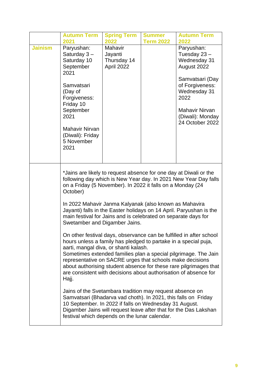|                | <b>Autumn Term</b><br>2021                                                                                                                                                                                                                                                                                                                                                                                                                                                                                                                                                                                                                                                                                                                                                                              | <b>Spring Term</b><br>2022                      | <b>Summer</b><br><b>Term 2022</b> | <b>Autumn Term</b><br>2022                                                                                                                                                                                                                                                                                                                                                                                                |
|----------------|---------------------------------------------------------------------------------------------------------------------------------------------------------------------------------------------------------------------------------------------------------------------------------------------------------------------------------------------------------------------------------------------------------------------------------------------------------------------------------------------------------------------------------------------------------------------------------------------------------------------------------------------------------------------------------------------------------------------------------------------------------------------------------------------------------|-------------------------------------------------|-----------------------------------|---------------------------------------------------------------------------------------------------------------------------------------------------------------------------------------------------------------------------------------------------------------------------------------------------------------------------------------------------------------------------------------------------------------------------|
| <b>Jainism</b> | Paryushan:<br>Saturday $3-$<br>Saturday 10<br>September<br>2021<br>Samvatsari<br>(Day of<br>Forgiveness:<br>Friday 10<br>September<br>2021<br><b>Mahavir Nirvan</b><br>(Diwali): Friday<br>5 November<br>2021                                                                                                                                                                                                                                                                                                                                                                                                                                                                                                                                                                                           | Mahavir<br>Jayanti<br>Thursday 14<br>April 2022 |                                   | Paryushan:<br>Tuesday 23 -<br>Wednesday 31<br>August 2022<br>Samvatsari (Day<br>of Forgiveness:<br>Wednesday 31<br>2022<br><b>Mahavir Nirvan</b><br>(Diwali): Monday<br>24 October 2022                                                                                                                                                                                                                                   |
|                | *Jains are likely to request absence for one day at Diwali or the<br>on a Friday (5 November). In 2022 it falls on a Monday (24<br>October)<br>In 2022 Mahavir Janma Kalyanak (also known as Mahavira<br>main festival for Jains and is celebrated on separate days for<br>Swetamber and Digamber Jains.<br>hours unless a family has pledged to partake in a special puja,<br>aarti, mangal diva, or shanti kalash.<br>representative on SACRE urges that schools make decisions<br>are consistent with decisions about authorisation of absence for<br>Hajj.<br>Jains of the Svetambara tradition may request absence on<br>Samvatsari (Bhadarva vad choth). In 2021, this falls on Friday<br>10 September. In 2022 if falls on Wednesday 31 August.<br>festival which depends on the lunar calendar. |                                                 |                                   | following day which is New Year day. In 2021 New Year Day falls<br>Jayanti) falls in the Easter holidays on 14 April. Paryushan is the<br>On other festival days, observance can be fulfilled in after school<br>Sometimes extended families plan a special pilgrimage. The Jain<br>about authorising student absence for these rare pilgrimages that<br>Digamber Jains will request leave after that for the Das Lakshan |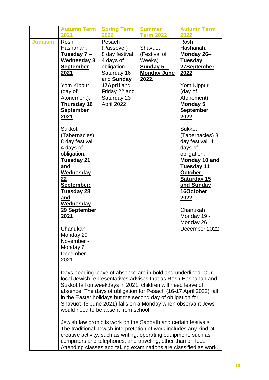|                | <b>Autumn Term</b><br>2021                                                                                                                                                                                                                                                                                                                                                                                                                                                              | <b>Spring Term</b><br>2022                                                                                                                                           | <b>Summer</b><br><b>Term 2022</b>                                                                                                                                                                                                                                                                                                                                                                                                                                                                                                                                                                          | <b>Autumn Term</b><br>2022                                                                                                                                                                                                                                                                                                                                                                                                  |
|----------------|-----------------------------------------------------------------------------------------------------------------------------------------------------------------------------------------------------------------------------------------------------------------------------------------------------------------------------------------------------------------------------------------------------------------------------------------------------------------------------------------|----------------------------------------------------------------------------------------------------------------------------------------------------------------------|------------------------------------------------------------------------------------------------------------------------------------------------------------------------------------------------------------------------------------------------------------------------------------------------------------------------------------------------------------------------------------------------------------------------------------------------------------------------------------------------------------------------------------------------------------------------------------------------------------|-----------------------------------------------------------------------------------------------------------------------------------------------------------------------------------------------------------------------------------------------------------------------------------------------------------------------------------------------------------------------------------------------------------------------------|
| <b>Judaism</b> | Rosh<br>Hashanah:<br><u>Tuesday 7 –</u><br><b>Wednesday 8</b><br><b>September</b><br><u>2021</u><br>Yom Kippur<br>(day of<br>Atonement):<br><b>Thursday 16</b><br><b>September</b><br>2021<br><b>Sukkot</b><br>(Tabernacles)<br>8 day festival,<br>4 days of<br>obligation:<br>Tuesday 21<br>and<br><b>Wednesday</b><br>22<br>September;<br><b>Tuesday 28</b><br>and<br><b>Wednesday</b><br>29 September<br>2021<br>Chanukah<br>Monday 29<br>November -<br>Monday 6<br>December<br>2021 | Pesach<br>(Passover)<br>8 day festival,<br>4 days of<br>obligation.<br>Saturday 16<br>and <b>Sunday</b><br>17April and<br>Friday 22 and<br>Saturday 23<br>April 2022 | Shavuot<br>(Festival of<br>Weeks)<br><u>Sunday 5-</u><br><b>Monday June</b><br><u> 2022.</u>                                                                                                                                                                                                                                                                                                                                                                                                                                                                                                               | Rosh<br>Hashanah:<br>Monday 26-<br><b>Tuesday</b><br>27September<br>2022<br>Yom Kippur<br>(day of<br>Atonement):<br><b>Monday 5</b><br><b>September</b><br>2022<br><b>Sukkot</b><br>(Tabernacles) 8<br>day festival, 4<br>days of<br>obligation:<br><b>Monday 10 and</b><br><b>Tuesday 11</b><br>October;<br><b>Saturday 15</b><br>and Sunday<br>16October<br>2022<br>Chanukah<br>Monday 19 -<br>Monday 26<br>December 2022 |
|                | would need to be absent from school.                                                                                                                                                                                                                                                                                                                                                                                                                                                    |                                                                                                                                                                      | Days needing leave of absence are in bold and underlined. Our<br>local Jewish representatives advises that as Rosh Hashanah and<br>Sukkot fall on weekdays in 2021, children will need leave of<br>in the Easter holidays but the second day of obligation for<br>Shavuot (6 June 2021) falls on a Monday when observant Jews<br>Jewish law prohibits work on the Sabbath and certain festivals.<br>The traditional Jewish interpretation of work includes any kind of<br>creative activity, such as writing, operating equipment, such as<br>computers and telephones, and traveling, other than on foot. | absence. The days of obligation for Pesach (16-17 April 2022) fall<br>Attending classes and taking examinations are classified as work.                                                                                                                                                                                                                                                                                     |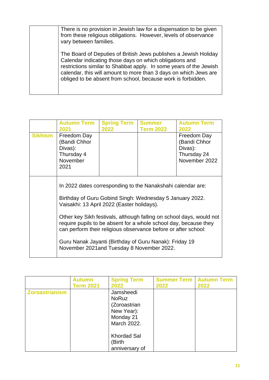| There is no provision in Jewish law for a dispensation to be given<br>from these religious obligations. However, levels of observance<br>vary between families.                                                                                                                                                                       |
|---------------------------------------------------------------------------------------------------------------------------------------------------------------------------------------------------------------------------------------------------------------------------------------------------------------------------------------|
| The Board of Deputies of British Jews publishes a Jewish Holiday<br>Calendar indicating those days on which obligations and<br>restrictions similar to Shabbat apply. In some years of the Jewish<br>calendar, this will amount to more than 3 days on which Jews are<br>obliged to be absent from school, because work is forbidden. |

|                | <b>Autumn Term</b><br>2021                                                                                                                                            | <b>Spring Term</b><br>2022                                                                                                                                                                                 | <b>Summer</b><br><b>Term 2022</b> | <b>Autumn Term</b><br>2022                                             |  |  |
|----------------|-----------------------------------------------------------------------------------------------------------------------------------------------------------------------|------------------------------------------------------------------------------------------------------------------------------------------------------------------------------------------------------------|-----------------------------------|------------------------------------------------------------------------|--|--|
| <b>Sikhism</b> | Freedom Day<br>(Bandi Chhor<br>Divas):<br>Thursday 4<br>November<br>2021                                                                                              |                                                                                                                                                                                                            |                                   | Freedom Day<br>(Bandi Chhor<br>Divas):<br>Thursday 24<br>November 2022 |  |  |
|                | In 2022 dates corresponding to the Nanakshahi calendar are:<br>Birthday of Guru Gobind Singh: Wednesday 5 January 2022.<br>Vaisakhi: 13 April 2022 (Easter holidays). |                                                                                                                                                                                                            |                                   |                                                                        |  |  |
|                |                                                                                                                                                                       | Other key Sikh festivals, although falling on school days, would not<br>require pupils to be absent for a whole school day, because they<br>can perform their religious observance before or after school: |                                   |                                                                        |  |  |
|                | Guru Nanak Jayanti (Birthday of Guru Nanak): Friday 19<br>November 2021 and Tuesday 8 November 2022.                                                                  |                                                                                                                                                                                                            |                                   |                                                                        |  |  |

|                       | <b>Autumn</b><br><b>Term 2021</b> | <b>Spring Term</b><br>2022                                                          | <b>Summer Term   Autumn Term</b><br>2022 | 2022 |
|-----------------------|-----------------------------------|-------------------------------------------------------------------------------------|------------------------------------------|------|
| <b>Zoroastrianism</b> |                                   | Jamsheedi<br><b>NoRuz</b><br>(Zoroastrian<br>New Year):<br>Monday 21<br>March 2022. |                                          |      |
|                       |                                   | <b>Khordad Sal</b><br>(Birth<br>anniversary of                                      |                                          |      |